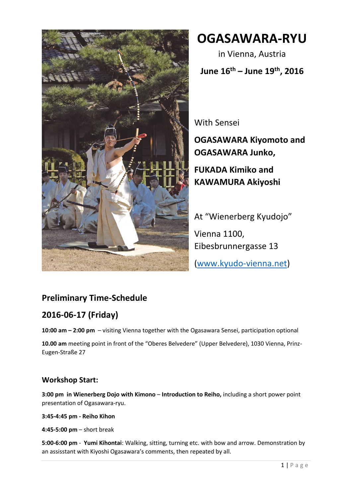

**OGASAWARA-RYU**

in Vienna, Austria

**June 16th – June 19th, 2016**

With Sensei

**OGASAWARA Kiyomoto and OGASAWARA Junko,**

**FUKADA Kimiko and KAWAMURA Akiyoshi**

At "Wienerberg Kyudojo" Vienna 1100, Eibesbrunnergasse 13 [\(www.kyudo-vienna.net\)](http://www.kyudo-vienna.net/)

# **Preliminary Time-Schedule**

# **2016-06-17 (Friday)**

**10:00 am – 2:00 pm** – visiting Vienna together with the Ogasawara Sensei, participation optional

**10.00 am** meeting point in front of the "Oberes Belvedere" (Upper Belvedere), 1030 Vienna, Prinz-Eugen-Straße 27

#### **Workshop Start:**

**3:00 pm in Wienerberg Dojo with Kimono** – **Introduction to Reiho,** including a short power point presentation of Ogasawara-ryu.

**3:45-4:45 pm - Reiho Kihon**

**4:45-5:00 pm** – short break

**5:00-6:00 pm** - **Yumi Kihontai**: Walking, sitting, turning etc. with bow and arrow. Demonstration by an assisstant with Kiyoshi Ogasawara's comments, then repeated by all.